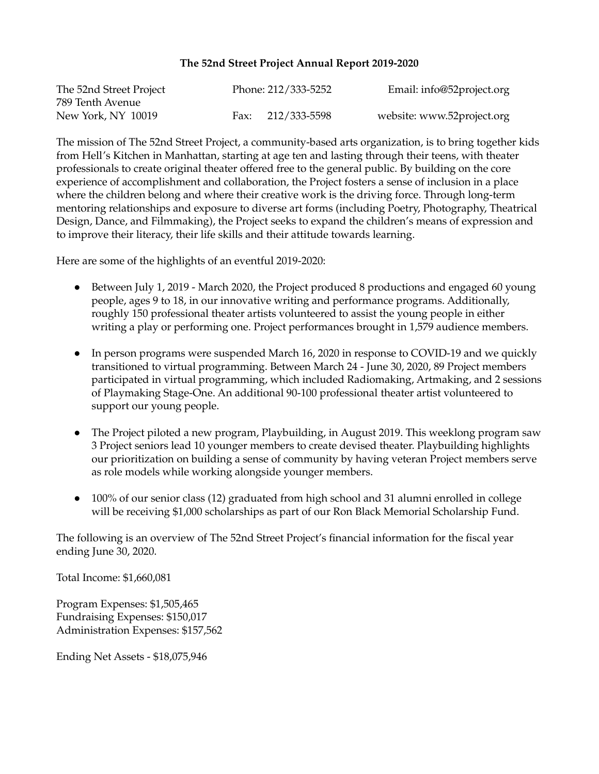## **The 52nd Street Project Annual Report 2019-2020**

| The 52nd Street Project | Phone: 212/333-5252 | Email: info@52project.org  |
|-------------------------|---------------------|----------------------------|
| 789 Tenth Avenue        |                     |                            |
| New York, NY 10019      | Fax: 212/333-5598   | website: www.52project.org |

The mission of The 52nd Street Project, a community-based arts organization, is to bring together kids from Hell's Kitchen in Manhattan, starting at age ten and lasting through their teens, with theater professionals to create original theater offered free to the general public. By building on the core experience of accomplishment and collaboration, the Project fosters a sense of inclusion in a place where the children belong and where their creative work is the driving force. Through long-term mentoring relationships and exposure to diverse art forms (including Poetry, Photography, Theatrical Design, Dance, and Filmmaking), the Project seeks to expand the children's means of expression and to improve their literacy, their life skills and their attitude towards learning.

Here are some of the highlights of an eventful 2019-2020:

- Between July 1, 2019 March 2020, the Project produced 8 productions and engaged 60 young people, ages 9 to 18, in our innovative writing and performance programs. Additionally, roughly 150 professional theater artists volunteered to assist the young people in either writing a play or performing one. Project performances brought in 1,579 audience members.
- In person programs were suspended March 16, 2020 in response to COVID-19 and we quickly transitioned to virtual programming. Between March 24 - June 30, 2020, 89 Project members participated in virtual programming, which included Radiomaking, Artmaking, and 2 sessions of Playmaking Stage-One. An additional 90-100 professional theater artist volunteered to support our young people.
- The Project piloted a new program, Playbuilding, in August 2019. This weeklong program saw 3 Project seniors lead 10 younger members to create devised theater. Playbuilding highlights our prioritization on building a sense of community by having veteran Project members serve as role models while working alongside younger members.
- 100% of our senior class (12) graduated from high school and 31 alumni enrolled in college will be receiving \$1,000 scholarships as part of our Ron Black Memorial Scholarship Fund.

The following is an overview of The 52nd Street Project's financial information for the fiscal year ending June 30, 2020.

Total Income: \$1,660,081

Program Expenses: \$1,505,465 Fundraising Expenses: \$150,017 Administration Expenses: \$157,562

Ending Net Assets - \$18,075,946